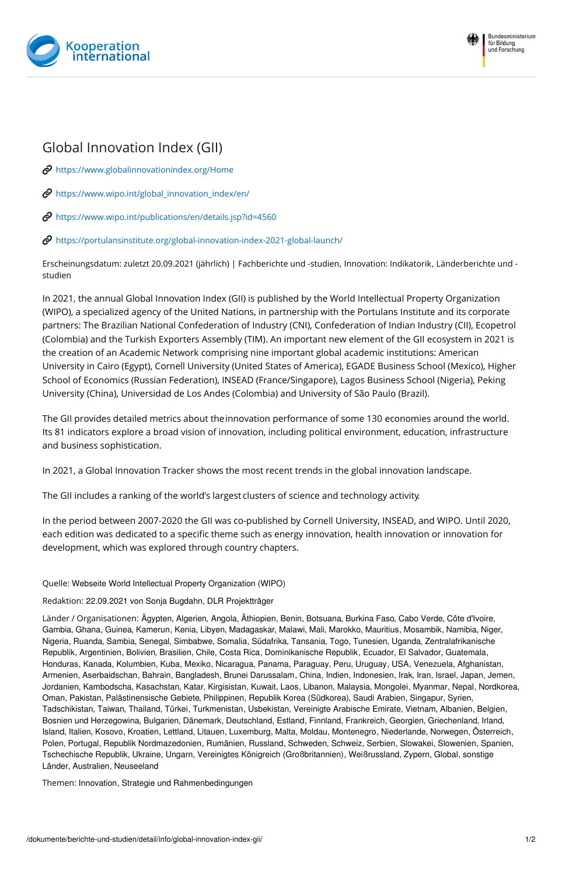



## Global Innovation Index (GII)

 $\mathcal O$  [https://www.globalinnovationindex.org/Home](https://www.globalinnovationindex.org/Home%0A)

 $\mathcal O$  [https://www.wipo.int/global\\_innovation\\_index/en/](https://www.wipo.int/global_innovation_index/en/%0A)

 $\mathcal O$  [https://www.wipo.int/publications/en/details.jsp?id=4560](https://www.wipo.int/publications/en/details.jsp?id=4560%0A)

 $\mathcal O$  [https://portulansinstitute.org/global-innovation-index-2021-global-launch/](https://portulansinstitute.org/global-innovation-index-2021-global-launch/%20)

Erscheinungsdatum: zuletzt 20.09.2021 (jährlich) | Fachberichte und -studien, Innovation: Indikatorik, Länderberichte und studien

In 2021, the annual Global Innovation Index (GII) is published by the World Intellectual Property Organization (WIPO), a specialized agency of the United Nations, in partnership with the Portulans Institute and its corporate partners: The Brazilian National Confederation of Industry (CNI), Confederation of Indian Industry (CII), Ecopetrol (Colombia) and the Turkish Exporters Assembly (TIM). An important new element of the GII ecosystem in 2021 is the creation of an Academic Network comprising nine important global academic institutions: American University in Cairo (Egypt), Cornell University (United States of America), EGADE Business School (Mexico), Higher School of Economics (Russian Federation), INSEAD (France/Singapore), Lagos Business School (Nigeria), Peking University (China), Universidad de Los Andes (Colombia) and University of São Paulo (Brazil).

The GII provides detailed metrics about theinnovation performance of some 130 economies around the world. Its 81 indicators explore a broad vision of innovation, including political environment, education, infrastructure and business sophistication.

In 2021, a Global Innovation Tracker shows the most recent trends in the global innovation landscape.

The GII includes a ranking of the world's largest clusters of science and technology activity.

In the period between 2007-2020 the GII was co-published by Cornell University, INSEAD, and WIPO. Until 2020, each edition was dedicated to a specific theme such as energy innovation, health innovation or innovation for development, which was explored through country chapters.

## Quelle: Webseite World Intellectual Property Organization (WIPO)

Redaktion: 22.09.2021 von Sonja Bugdahn, DLR Projektträger

Länder / Organisationen: Ägypten, Algerien, Angola, Äthiopien, Benin, Botsuana, Burkina Faso, Cabo Verde, Côte d'Ivoire, Gambia, Ghana, Guinea, Kamerun, Kenia, Libyen, Madagaskar, Malawi, Mali, Marokko, Mauritius, Mosambik, Namibia, Niger, Nigeria, Ruanda, Sambia, Senegal, Simbabwe, Somalia, Südafrika, Tansania, Togo, Tunesien, Uganda, Zentralafrikanische Republik, Argentinien, Bolivien, Brasilien, Chile, Costa Rica, Dominikanische Republik, Ecuador, El Salvador, Guatemala, Honduras, Kanada, Kolumbien, Kuba, Mexiko, Nicaragua, Panama, Paraguay, Peru, Uruguay, USA, Venezuela, Afghanistan, Armenien, Aserbaidschan, Bahrain, Bangladesh, Brunei Darussalam, China, Indien, Indonesien, Irak, Iran, Israel, Japan, Jemen, Jordanien, Kambodscha, Kasachstan, Katar, Kirgisistan, Kuwait, Laos, Libanon, Malaysia, Mongolei, Myanmar, Nepal, Nordkorea, Oman, Pakistan, Palästinensische Gebiete, Philippinen, Republik Korea (Südkorea), Saudi Arabien, Singapur, Syrien, Tadschikistan, Taiwan, Thailand, Türkei, Turkmenistan, Usbekistan, Vereinigte Arabische Emirate, Vietnam, Albanien, Belgien, Bosnien und Herzegowina, Bulgarien, Dänemark, Deutschland, Estland, Finnland, Frankreich, Georgien, Griechenland, Irland, Island, Italien, Kosovo, Kroatien, Lettland, Litauen, Luxemburg, Malta, Moldau, Montenegro, Niederlande, Norwegen, Österreich, Polen, Portugal, Republik Nordmazedonien, Rumänien, Russland, Schweden, Schweiz, Serbien, Slowakei, Slowenien, Spanien, Tschechische Republik, Ukraine, Ungarn, Vereinigtes Königreich (Großbritannien), Weißrussland, Zypern, Global, sonstige Länder, Australien, Neuseeland

Themen: Innovation, Strategie und Rahmenbedingungen